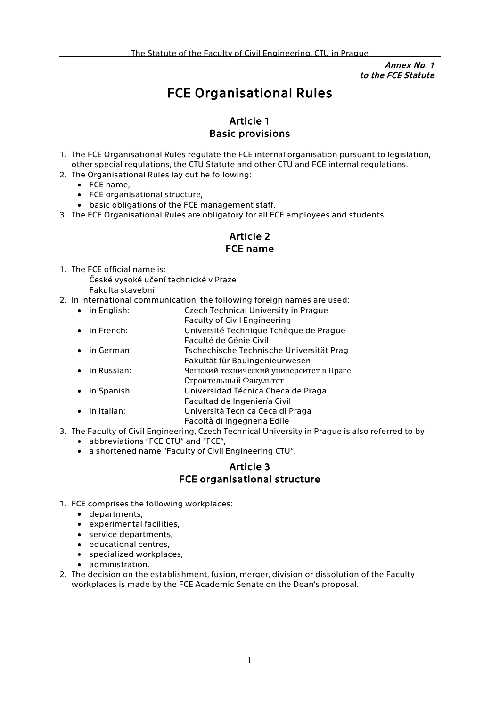Annex No. 1 to the FCE Statute

# FCE Organisational Rules

#### Article 1 Basic provisions

- 1. The FCE Organisational Rules regulate the FCE internal organisation pursuant to legislation, other special regulations, the CTU Statute and other CTU and FCE internal regulations.
- 2. The Organisational Rules lay out he following:
	- FCE name,
		- FCE organisational structure,
		- basic obligations of the FCE management staff.
- 3. The FCE Organisational Rules are obligatory for all FCE employees and students.

### Article 2 FCE name

1. The FCE official name is:

České vysoké učení technické v Praze Fakulta stavební

- 2. In international communication, the following foreign names are used:
- in English: Czech Technical University in Prague Faculty of Civil Engineering • in French: Université Technique Tchèque de Prague Faculté de Génie Civil • in German: Tschechische Technische Universität Prag Fakultät für Bauingenieurwesen • in Russian: Чешский технический университет в Праге Строительный Факультет • in Spanish: Universidad Técnica Checa de Praga Facultad de Ingeniería Civil • in Italian: Università Tecnica Ceca di Praga
- Facoltà di Ingegneria Edile 3. The Faculty of Civil Engineering, Czech Technical University in Prague is also referred to by
	- abbreviations "FCE CTU" and "FCE",
	- a shortened name ''Faculty of Civil Engineering CTU''.

# Article 3 FCE organisational structure

- 1. FCE comprises the following workplaces:
	- departments,
	- experimental facilities,
	- service departments,
	- educational centres,
	- specialized workplaces,
	- administration.
- 2. The decision on the establishment, fusion, merger, division or dissolution of the Faculty workplaces is made by the FCE Academic Senate on the Dean's proposal.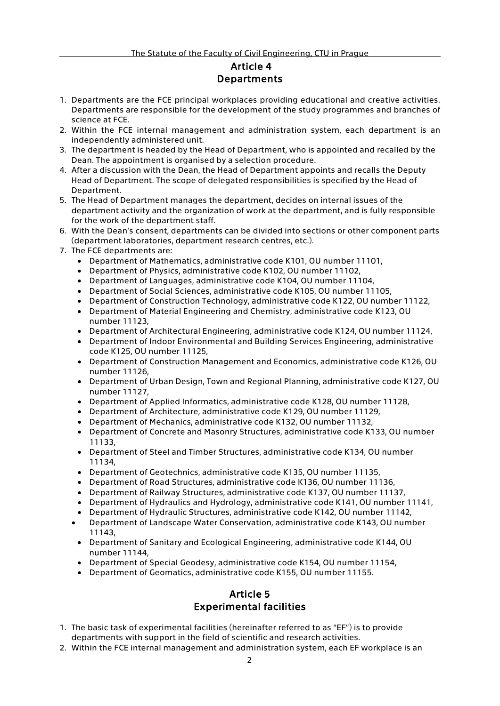# Article 4 Departments

- 1. Departments are the FCE principal workplaces providing educational and creative activities. Departments are responsible for the development of the study programmes and branches of science at FCE.
- 2. Within the FCE internal management and administration system, each department is an independently administered unit.
- 3. The department is headed by the Head of Department, who is appointed and recalled by the Dean. The appointment is organised by a selection procedure.
- 4. After a discussion with the Dean, the Head of Department appoints and recalls the Deputy Head of Department. The scope of delegated responsibilities is specified by the Head of Department.
- 5. The Head of Department manages the department, decides on internal issues of the department activity and the organization of work at the department, and is fully responsible for the work of the department staff.
- 6. With the Dean's consent, departments can be divided into sections or other component parts (department laboratories, department research centres, etc.).
- 7. The FCE departments are:
	- Department of Mathematics, administrative code K101, OU number 11101,
	- Department of Physics, administrative code K102, OU number 11102,
	- Department of Languages, administrative code K104, OU number 11104,
	- Department of Social Sciences, administrative code K105, OU number 11105,
	- Department of Construction Technology, administrative code K122, OU number 11122,
	- Department of Material Engineering and Chemistry, administrative code K123, OU number 11123,
	- Department of Architectural Engineering, administrative code K124, OU number 11124,
	- Department of Indoor Environmental and Building Services Engineering, administrative code K125, OU number 11125,
	- Department of Construction Management and Economics, administrative code K126, OU number 11126,
	- Department of Urban Design, Town and Regional Planning, administrative code K127, OU number 11127,
	- Department of Applied Informatics, administrative code K128, OU number 11128,
	- Department of Architecture, administrative code K129, OU number 11129,
	- Department of Mechanics, administrative code K132, OU number 11132,
	- Department of Concrete and Masonry Structures, administrative code K133, OU number 11133,
	- Department of Steel and Timber Structures, administrative code K134, OU number 11134,
	- Department of Geotechnics, administrative code K135, OU number 11135,
	- Department of Road Structures, administrative code K136, OU number 11136,
	- Department of Railway Structures, administrative code K137, OU number 11137,
	- Department of Hydraulics and Hydrology, administrative code K141, OU number 11141,
	- Department of Hydraulic Structures, administrative code K142, OU number 11142,
	- Department of Landscape Water Conservation, administrative code K143, OU number 11143,
	- Department of Sanitary and Ecological Engineering, administrative code K144, OU number 11144,
	- Department of Special Geodesy, administrative code K154, OU number 11154,
	- Department of Geomatics, administrative code K155, OU number 11155.

# Article 5 Experimental facilities

- 1. The basic task of experimental facilities (hereinafter referred to as ''EF'') is to provide departments with support in the field of scientific and research activities.
- 2. Within the FCE internal management and administration system, each EF workplace is an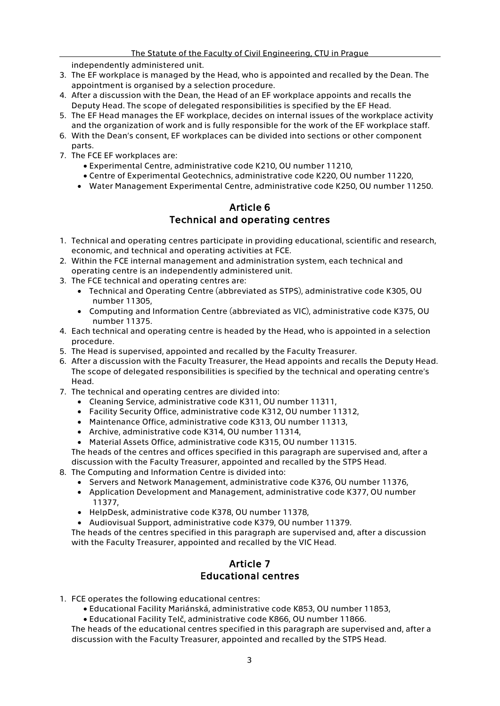independently administered unit.

- 3. The EF workplace is managed by the Head, who is appointed and recalled by the Dean. The appointment is organised by a selection procedure.
- 4. After a discussion with the Dean, the Head of an EF workplace appoints and recalls the Deputy Head. The scope of delegated responsibilities is specified by the EF Head.
- 5. The EF Head manages the EF workplace, decides on internal issues of the workplace activity and the organization of work and is fully responsible for the work of the EF workplace staff.
- 6. With the Dean's consent, EF workplaces can be divided into sections or other component parts.
- 7. The FCE EF workplaces are:
	- Experimental Centre, administrative code K210, OU number 11210,
	- Centre of Experimental Geotechnics, administrative code K220, OU number 11220,
	- Water Management Experimental Centre, administrative code K250, OU number 11250.

#### Article 6 Technical and operating centres

- 1. Technical and operating centres participate in providing educational, scientific and research, economic, and technical and operating activities at FCE.
- 2. Within the FCE internal management and administration system, each technical and operating centre is an independently administered unit.
- 3. The FCE technical and operating centres are:
	- Technical and Operating Centre (abbreviated as STPS), administrative code K305, OU number 11305,
	- Computing and Information Centre (abbreviated as VIC), administrative code K375, OU number 11375.
- 4. Each technical and operating centre is headed by the Head, who is appointed in a selection procedure.
- 5. The Head is supervised, appointed and recalled by the Faculty Treasurer.
- 6. After a discussion with the Faculty Treasurer, the Head appoints and recalls the Deputy Head. The scope of delegated responsibilities is specified by the technical and operating centre's Head.
- 7. The technical and operating centres are divided into:
	- Cleaning Service, administrative code K311, OU number 11311,
	- Facility Security Office, administrative code K312, OU number 11312,
	- Maintenance Office, administrative code K313, OU number 11313,
	- Archive, administrative code K314, OU number 11314,
	- Material Assets Office, administrative code K315, OU number 11315.
	- The heads of the centres and offices specified in this paragraph are supervised and, after a discussion with the Faculty Treasurer, appointed and recalled by the STPS Head.
- 8. The Computing and Information Centre is divided into:
	- Servers and Network Management, administrative code K376, OU number 11376,
	- Application Development and Management, administrative code K377, OU number 11377,
	- HelpDesk, administrative code K378, OU number 11378,
	- Audiovisual Support, administrative code K379, OU number 11379.

The heads of the centres specified in this paragraph are supervised and, after a discussion with the Faculty Treasurer, appointed and recalled by the VIC Head.

# Article 7 Educational centres

- 1. FCE operates the following educational centres:
	- Educational Facility Mariánská, administrative code K853, OU number 11853,
	- Educational Facility Telč, administrative code K866, OU number 11866.

The heads of the educational centres specified in this paragraph are supervised and, after a discussion with the Faculty Treasurer, appointed and recalled by the STPS Head.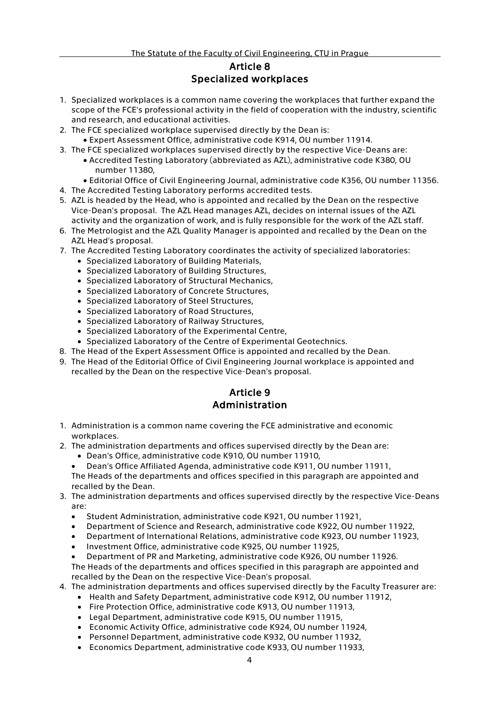#### Article 8 Specialized workplaces

- 1. Specialized workplaces is a common name covering the workplaces that further expand the scope of the FCE's professional activity in the field of cooperation with the industry, scientific and research, and educational activities.
- 2. The FCE specialized workplace supervised directly by the Dean is:
- Expert Assessment Office, administrative code K914, OU number 11914.
- 3. The FCE specialized workplaces supervised directly by the respective Vice-Deans are: • Accredited Testing Laboratory (abbreviated as AZL), administrative code K380, OU
	- number 11380,
		- Editorial Office of Civil Engineering Journal, administrative code K356, OU number 11356.
- 4. The Accredited Testing Laboratory performs accredited tests.
- 5. AZL is headed by the Head, who is appointed and recalled by the Dean on the respective Vice-Dean's proposal. The AZL Head manages AZL, decides on internal issues of the AZL activity and the organization of work, and is fully responsible for the work of the AZL staff.
- 6. The Metrologist and the AZL Quality Manager is appointed and recalled by the Dean on the AZL Head's proposal.
- 7. The Accredited Testing Laboratory coordinates the activity of specialized laboratories:
	- Specialized Laboratory of Building Materials,
	- Specialized Laboratory of Building Structures,
	- Specialized Laboratory of Structural Mechanics,
	- Specialized Laboratory of Concrete Structures,
	- Specialized Laboratory of Steel Structures,
	- Specialized Laboratory of Road Structures,
	- Specialized Laboratory of Railway Structures,
	- Specialized Laboratory of the Experimental Centre,
	- Specialized Laboratory of the Centre of Experimental Geotechnics.
- 8. The Head of the Expert Assessment Office is appointed and recalled by the Dean.
- 9. The Head of the Editorial Office of Civil Engineering Journal workplace is appointed and recalled by the Dean on the respective Vice-Dean's proposal.

# Article 9 Administration

- 1. Administration is a common name covering the FCE administrative and economic workplaces.
- 2. The administration departments and offices supervised directly by the Dean are:
	- Dean's Office, administrative code K910, OU number 11910,
	- Dean's Office Affiliated Agenda, administrative code K911, OU number 11911, The Heads of the departments and offices specified in this paragraph are appointed and recalled by the Dean.
- 3. The administration departments and offices supervised directly by the respective Vice-Deans are:
	- Student Administration, administrative code K921, OU number 11921,
	- Department of Science and Research, administrative code K922, OU number 11922,
	- Department of International Relations, administrative code K923, OU number 11923,
	- Investment Office, administrative code K925, OU number 11925,
	- Department of PR and Marketing, administrative code K926, OU number 11926.

The Heads of the departments and offices specified in this paragraph are appointed and recalled by the Dean on the respective Vice-Dean's proposal.

- 4. The administration departments and offices supervised directly by the Faculty Treasurer are:
	- Health and Safety Department, administrative code K912, OU number 11912,
		- Fire Protection Office, administrative code K913, OU number 11913,
		- Legal Department, administrative code K915, OU number 11915,
		- Economic Activity Office, administrative code K924, OU number 11924,
		- Personnel Department, administrative code K932, OU number 11932,
		- Economics Department, administrative code K933, OU number 11933,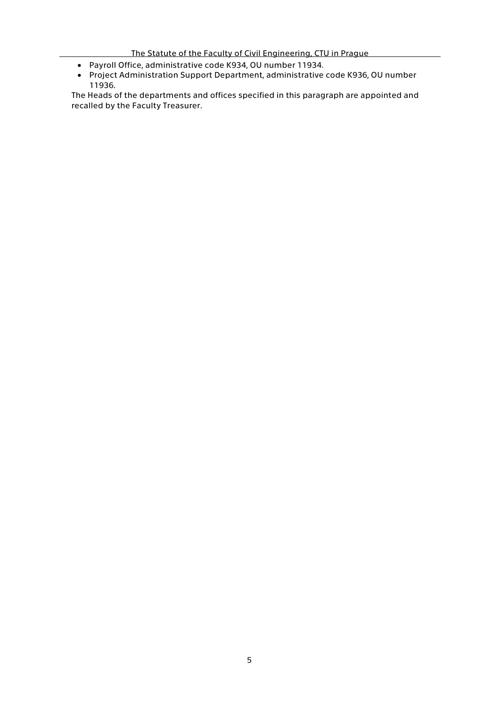#### The Statute of the Faculty of Civil Engineering, CTU in Prague

- Payroll Office, administrative code K934, OU number 11934.
- Project Administration Support Department, administrative code K936, OU number 11936.

The Heads of the departments and offices specified in this paragraph are appointed and recalled by the Faculty Treasurer.